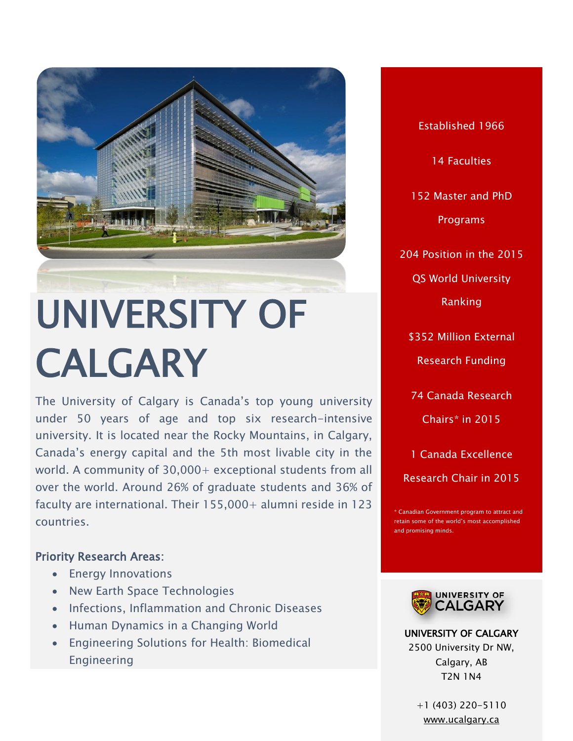

# UNIVERSITY OF CALGARY

The University of Calgary is Canada's top young university under 50 years of age and top six research-intensive university. It is located near the Rocky Mountains, in Calgary, Canada's energy capital and the 5th most livable city in the world. A community of 30,000+ exceptional students from all over the world. Around 26% of graduate students and 36% of faculty are international. Their 155,000+ alumni reside in 123 countries.

# Priority Research Areas:

- Energy Innovations
- New Earth Space Technologies
- Infections, Inflammation and Chronic Diseases
- Human Dynamics in a Changing World
- Engineering Solutions for Health: Biomedical Engineering

Established 1966 14 Faculties 152 Master and PhD Programs 204 Position in the 2015 QS World University Ranking \$352 Million External Research Funding 74 Canada Research Chairs\* in 2015 1 Canada Excellence

Canadian Government program to attract and retain some of the world's most accomplished and promising minds.

Research Chair in 2015



UNIVERSITY OF CALGARY 2500 University Dr NW, Calgary, AB T2N 1N4

> +1 (403) 220-5110 [www.ucalgary.ca](file:///C:/Users/Paulo%20Carvalho/Desktop/CALDO%20BROCHURE/www.ucalgary.ca)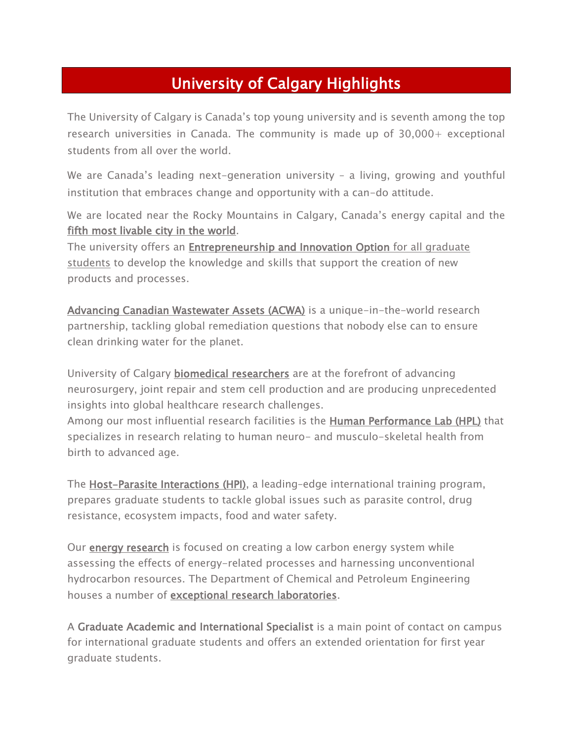# University of Calgary Highlights

The University of Calgary is Canada's top young university and is seventh among the top research universities in Canada. The community is made up of 30,000+ exceptional students from all over the world.

We are Canada's leading next-generation university – a living, growing and youthful institution that embraces change and opportunity with a can-do attitude.

We are located near the Rocky Mountains in Calgary, Canada's energy capital and the [fifth most livable city in the world.](http://www.economist.com/blogs/graphicdetail/2015/08/daily-chart-5)

The university offers an **Entrepreneurship and Innovation Option** for all graduate [students](http://haskayne.ucalgary.ca/hunter-centre/EI-Option) to develop the knowledge and skills that support the creation of new products and processes.

[Advancing Canadian Wastewater Assets \(ACWA\)](http://www.ucalgary.ca/acwa/) is a unique-in-the-world research partnership, tackling global remediation questions that nobody else can to ensure clean drinking water for the planet.

University of Calgary **biomedical researchers** are at the forefront of advancing neurosurgery, joint repair and stem cell production and are producing unprecedented insights into global healthcare research challenges.

Among our most influential research facilities is the **Human Performance Lab (HPL)** that specializes in research relating to human neuro- and musculo-skeletal health from birth to advanced age.

The [Host-Parasite Interactions \(HPI\),](https://www.ucalgary.ca/hpi/) a leading–edge international training program, prepares graduate students to tackle global issues such as parasite control, drug resistance, ecosystem impacts, food and water safety.

Our [energy research](http://ucalgary.ca/energy/) is focused on creating a low carbon energy system while assessing the effects of energy-related processes and harnessing unconventional hydrocarbon resources. The Department of Chemical and Petroleum Engineering houses a number of [exceptional research laboratories.](https://schulich.ucalgary.ca/node/131)

A Graduate Academic and International Specialist is a main point of contact on campus for international graduate students and offers an extended orientation for first year graduate students.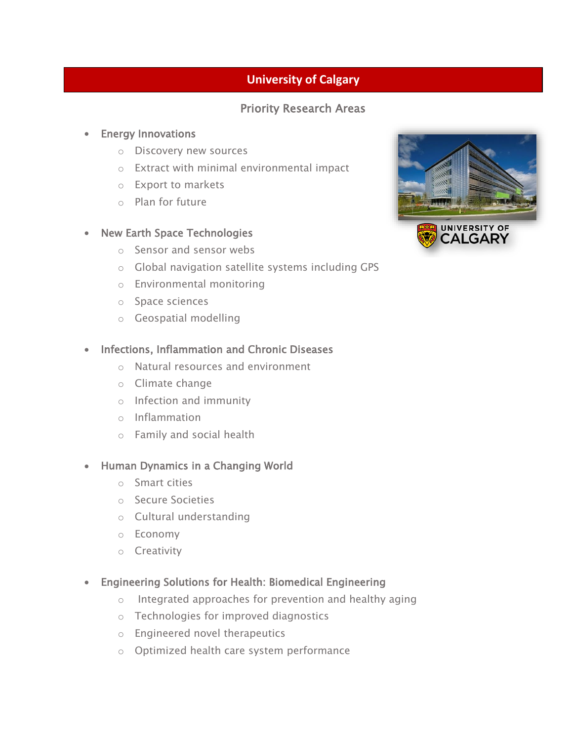# **University of Calgary**

# Priority Research Areas

#### **•** Energy Innovations

- o Discovery new sources
- o Extract with minimal environmental impact
- o Export to markets
- o Plan for future

#### • New Earth Space Technologies

- o Sensor and sensor webs
- o Global navigation satellite systems including GPS
- o Environmental monitoring
- o Space sciences
- o Geospatial modelling

### • Infections, Inflammation and Chronic Diseases

- o Natural resources and environment
- o Climate change
- o Infection and immunity
- o Inflammation
- o Family and social health

#### • Human Dynamics in a Changing World

- o Smart cities
- o Secure Societies
- o Cultural understanding
- o Economy
- o Creativity
- Engineering Solutions for Health: Biomedical Engineering
	- o Integrated approaches for prevention and healthy aging
	- o Technologies for improved diagnostics
	- o Engineered novel therapeutics
	- o Optimized health care system performance